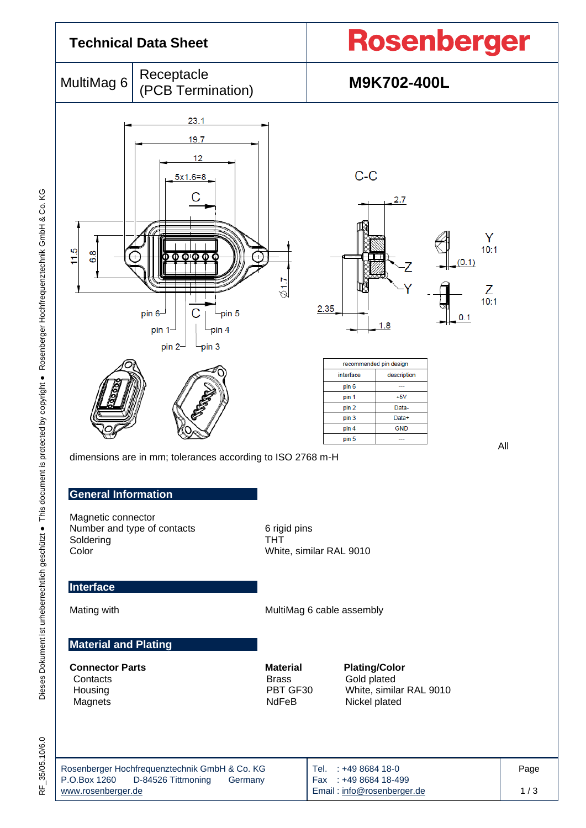

Email [: info@rosenberger.de](mailto:info@rosenberger.de)

1 / 3

35/05.10/6.0 RF\_35/05.10/6.0 눈

[www.rosenberger.de](http://www.rosenberger.de/)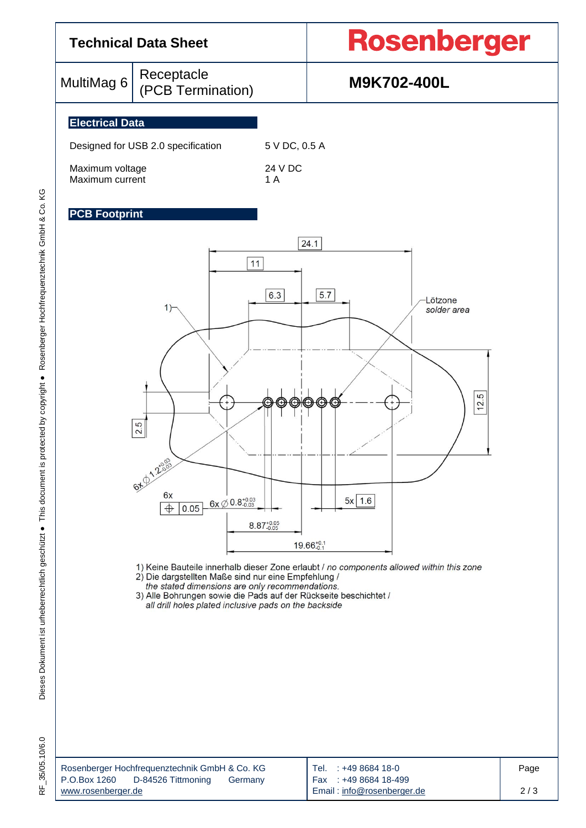

1) Keine Bauteile innerhalb dieser Zone erlaubt / no components allowed within this zone

2) Die dargstellten Maße sind nur eine Empfehlung /

the stated dimensions are only recommendations.<br>3) Alle Bohrungen sowie die Pads auf der Rückseite beschichtet /

all drill holes plated inclusive pads on the backside

| Rosenberger Hochfrequenztechnik GmbH & Co. KG | Tel. : +49 8684 18-0       | Page |
|-----------------------------------------------|----------------------------|------|
| P.O.Box 1260<br>D-84526 Tittmoning<br>Germany | Fax: +49 8684 18-499       |      |
| www.rosenberger.de                            | Email: info@rosenberger.de | 2/3  |